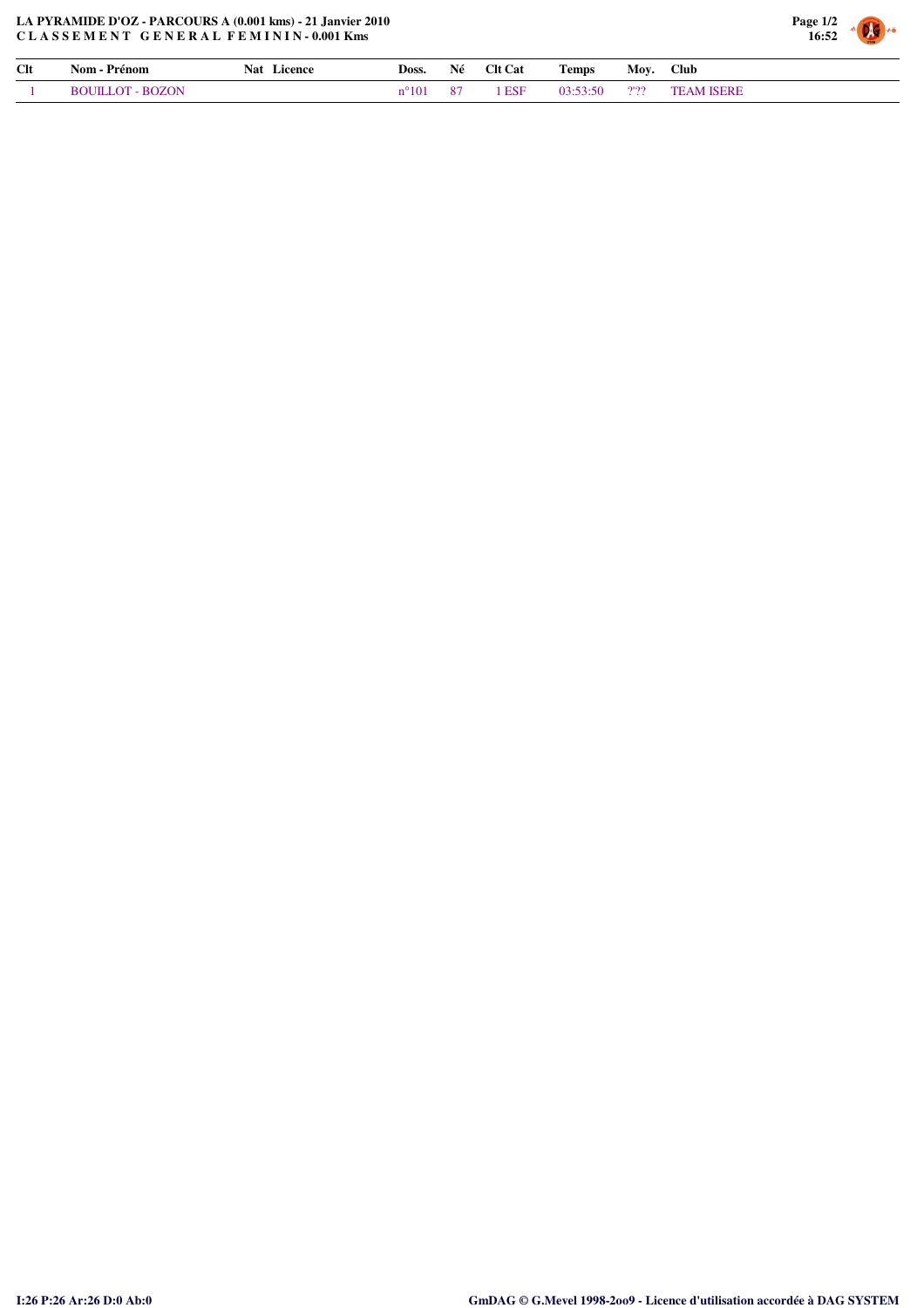

| Clt | Prénom<br>Nom · | Licence<br>Nat | Doss.   | Né | <b>Clt Cat</b> | <b>CONTINUES</b><br>l'emps | Mov. | Club |
|-----|-----------------|----------------|---------|----|----------------|----------------------------|------|------|
|     | <b>ROZON</b>    |                | - 1 U 1 |    | <b>ESF</b>     | $\overline{\phantom{a}}$   | 2'22 |      |